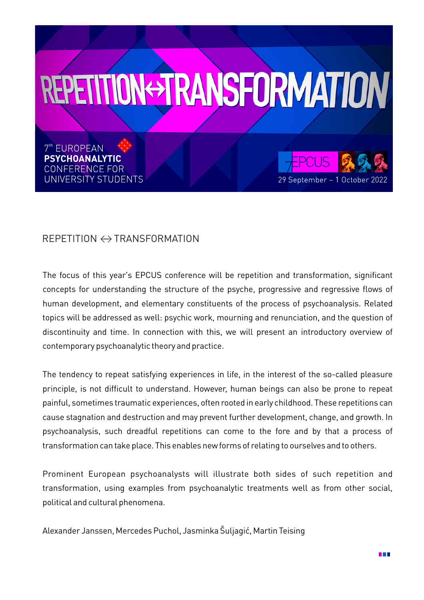

## REPETITION ←→ TRANSFORMATION

The focus of this year's EPCUS conference will be repetition and transformation, significant concepts for understanding the structure of the psyche, progressive and regressive flows of human development, and elementary constituents of the process of psychoanalysis. Related topics will be addressed as well: psychic work, mourning and renunciation, and the question of discontinuity and time. In connection with this, we will present an introductory overview of contemporary psychoanalytic theory and practice.

The tendency to repeat satisfying experiences in life, in the interest of the so-called pleasure principle, is not difficult to understand. However, human beings can also be prone to repeat painful, sometimes traumatic experiences, often rooted in early childhood. These repetitions can cause stagnation and destruction and may prevent further development, change, and growth. In psychoanalysis, such dreadful repetitions can come to the fore and by that a process of transformation can take place. This enables new forms of relating to ourselves and to others.

Prominent European psychoanalysts will illustrate both sides of such repetition and transformation, using examples from psychoanalytic treatments well as from other social, political and cultural phenomena.

Alexander Janssen, Mercedes Puchol, Jasminka Šuljagić, Martin Teising